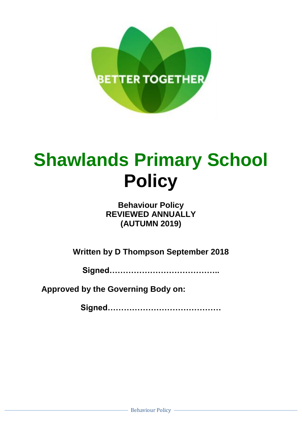

# **Shawlands Primary School Policy**

**Behaviour Policy REVIEWED ANNUALLY (AUTUMN 2019)**

**Written by D Thompson September 2018**

**Signed…………………………………..**

**Approved by the Governing Body on:**

**Signed……………………………………**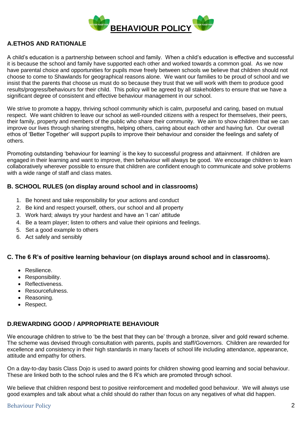

# **A.ETHOS AND RATIONALE**

A child's education is a partnership between school and family. When a child's education is effective and successful it is because the school and family have supported each other and worked towards a common goal. As we now have parental choice and opportunities for pupils move freely between schools we believe that children should not choose to come to Shawlands for geographical reasons alone. We want our families to be proud of school and we insist that the parents that choose us must do so because they trust that we will work with them to produce good results/progress/behaviours for their child. This policy will be agreed by all stakeholders to ensure that we have a significant degree of consistent and effective behaviour management in our school.

We strive to promote a happy, thriving school community which is calm, purposeful and caring, based on mutual respect. We want children to leave our school as well-rounded citizens with a respect for themselves, their peers, their family, property and members of the public who share their community. We aim to show children that we can improve our lives through sharing strengths, helping others, caring about each other and having fun. Our overall ethos of 'Better Together' will support pupils to improve their behaviour and consider the feelings and safety of others.

Promoting outstanding 'behaviour for learning' is the key to successful progress and attainment. If children are engaged in their learning and want to improve, then behaviour will always be good. We encourage children to learn collaboratively wherever possible to ensure that children are confident enough to communicate and solve problems with a wide range of staff and class mates.

## **B. SCHOOL RULES (on display around school and in classrooms)**

- 1. Be honest and take responsibility for your actions and conduct
- 2. Be kind and respect yourself, others, our school and all property
- 3. Work hard; always try your hardest and have an 'I can' attitude
- 4. Be a team player; listen to others and value their opinions and feelings.
- 5. Set a good example to others
- 6. Act safely and sensibly

## **C. The 6 R's of positive learning behaviour (on displays around school and in classrooms).**

- Resilience.
- Responsibility.
- Reflectiveness.
- Resourcefulness.
- Reasoning.
- Respect.

## **D.REWARDING GOOD / APPROPRIATE BEHAVIOUR**

We encourage children to strive to 'be the best that they can be' through a bronze, silver and gold reward scheme. The scheme was devised through consultation with parents, pupils and staff/Governors. Children are rewarded for excellence and consistency in their high standards in many facets of school life including attendance, appearance, attitude and empathy for others.

On a day-to-day basis Class Dojo is used to award points for children showing good learning and social behaviour. These are linked both to the school rules and the 6 R's which are promoted through school.

We believe that children respond best to positive reinforcement and modelled good behaviour. We will always use good examples and talk about what a child should do rather than focus on any negatives of what did happen.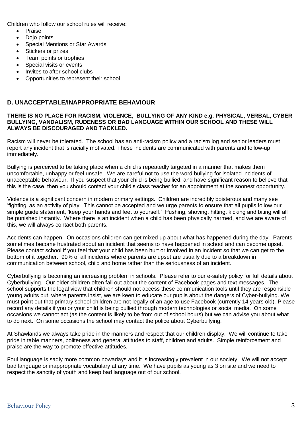Children who follow our school rules will receive:

- Praise
- Dojo points
- Special Mentions or Star Awards
- Stickers or prizes
- Team points or trophies
- Special visits or events
- Invites to after school clubs
- Opportunities to represent their school

## **D. UNACCEPTABLE/INAPPROPRIATE BEHAVIOUR**

#### **THERE IS NO PLACE FOR RACISM, VIOLENCE, BULLYING OF ANY KIND e.g. PHYSICAL, VERBAL, CYBER BULLYING, VANDALISM, RUDENESS OR BAD LANGUAGE WITHIN OUR SCHOOL AND THESE WILL ALWAYS BE DISCOURAGED AND TACKLED.**

Racism will never be tolerated. The school has an anti-racism policy and a racism log and senior leaders must report any incident that is racially motivated. These incidents are communicated with parents and follow-up immediately.

Bullying is perceived to be taking place when a child is repeatedly targeted in a manner that makes them uncomfortable, unhappy or feel unsafe. We are careful not to use the word bullying for isolated incidents of unacceptable behaviour. If you suspect that your child is being bullied, and have significant reason to believe that this is the case, then you should contact your child's class teacher for an appointment at the soonest opportunity.

Violence is a significant concern in modern primary settings. Children are incredibly boisterous and many see 'fighting' as an activity of play. This cannot be accepted and we urge parents to ensure that all pupils follow our simple guide statement, 'keep your hands and feet to yourself.' Pushing, shoving, hitting, kicking and biting will all be punished instantly. Where there is an incident when a child has been physically harmed, and we are aware of this, we will always contact both parents.

Accidents can happen. On occasions children can get mixed up about what has happened during the day. Parents sometimes become frustrated about an incident that seems to have happened in school and can become upset. Please contact school if you feel that your child has been hurt or involved in an incident so that we can get to the bottom of it together. 90% of all incidents where parents are upset are usually due to a breakdown in communication between school, child and home rather than the seriousness of an incident.

Cyberbullying is becoming an increasing problem in schools. Please refer to our e-safety policy for full details about Cyberbullying. Our older children often fall out about the content of Facebook pages and text messages. The school supports the legal view that children should not access these communication tools until they are responsible young adults but, where parents insist, we are keen to educate our pupils about the dangers of Cyber-bullying. We must point out that primary school children are not legally of an age to use Facebook (currently 14 years old). Please record any details if you or your child is being bullied through modern technologies or social media. On some occasions we cannot act (as the content is likely to be from out of school hours) but we can advise you about what to do next. On some occasions the school may contact the police about Cyberbullying.

At Shawlands we always take pride in the manners and respect that our children display. We will continue to take pride in table manners, politeness and general attitudes to staff, children and adults. Simple reinforcement and praise are the way to promote effective attitudes.

Foul language is sadly more common nowadays and it is increasingly prevalent in our society. We will not accept bad language or inappropriate vocabulary at any time. We have pupils as young as 3 on site and we need to respect the sanctity of youth and keep bad language out of our school.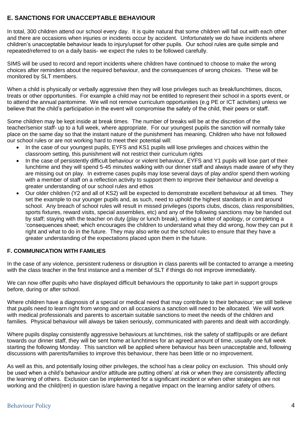## **E. SANCTIONS FOR UNACCEPTABLE BEHAVIOUR**

In total, 300 children attend our school every day. It is quite natural that some children will fall out with each other and there are occasions when injuries or incidents occur by accident. Unfortunately we do have incidents where children's unacceptable behaviour leads to injury/upset for other pupils. Our school rules are quite simple and repeated/referred to on a daily basis- we expect the rules to be followed carefully.

SIMS will be used to record and report incidents where children have continued to choose to make the wrong choices after reminders about the required behaviour, and the consequences of wrong choices. These will be monitored by SLT members.

When a child is physically or verbally aggressive then they will lose privileges such as break/lunchtimes, discos, treats or other opportunities. For example a child may not be entitled to represent their school in a sports event, or to attend the annual pantomime. We will not remove curriculum opportunities (e.g PE or ICT activities) unless we believe that the child's participation in the event will compromise the safety of the child, their peers or staff.

Some children may be kept inside at break times. The number of breaks will be at the discretion of the teacher/senior staff- up to a full week, where appropriate. For our youngest pupils the sanction will normally take place on the same day so that the instant nature of the punishment has meaning. Children who have not followed our school rules or are not working hard to meet their potential will:

- In the case of our youngest pupils, EYFS and KS1 pupils will lose privileges and choices within the classroom setting, this punishment will not restrict their curriculum rights
- In the case of persistently difficult behaviour or violent behaviour, EYFS and Y1 pupils will lose part of their lunchtime and they will spend 5-45 minutes walking with our dinner staff and always made aware of why they are missing out on play. In extreme cases pupils may lose several days of play and/or spend them working with a member of staff on a reflection activity to support them to improve their behaviour and develop a greater understanding of our school rules and ethos
- Our older children (Y2 and all of KS2) will be expected to demonstrate excellent behaviour at all times. They set the example to our younger pupils and, as such, need to uphold the highest standards in and around school. Any breach of school rules will result in missed privileges (sports clubs, discos, class responsibilities, sports fixtures, reward visits, special assemblies, etc) and any of the following sanctions may be handed out by staff; staying with the teacher on duty (play or lunch break), writing a letter of apology, or completing a 'consequences sheet; which encourages the children to understand what they did wrong, how they can put it right and what to do in the future. They may also write out the school rules to ensure that they have a greater understanding of the expectations placed upon them in the future.

## **F. COMMUNICATION WITH FAMILIES**

In the case of any violence, persistent rudeness or disruption in class parents will be contacted to arrange a meeting with the class teacher in the first instance and a member of SLT if things do not improve immediately.

We can now offer pupils who have displayed difficult behaviours the opportunity to take part in support groups before, during or after school.

Where children have a diagnosis of a special or medical need that may contribute to their behaviour; we still believe that pupils need to learn right from wrong and on all occasions a sanction will need to be allocated. We will work with medical professionals and parents to ascertain suitable sanctions to meet the needs of the children and families. Physical behaviour will always be taken seriously, communicated with parents and dealt with accordingly.

Where pupils display consistently aggressive behaviours at lunchtimes, risk the safety of staff/pupils or are defiant towards our dinner staff, they will be sent home at lunchtimes for an agreed amount of time, usually one full week starting the following Monday. This sanction will be applied where behaviour has been unacceptable and, following discussions with parents/families to improve this behaviour, there has been little or no improvement.

As well as this, and potentially losing other privileges, the school has a clear policy on exclusion. This should only be used when a child's behaviour and/or attitude are putting others' at risk or when they are consistently affecting the learning of others. Exclusion can be implemented for a significant incident or when other strategies are not working and the child(ren) in question is/are having a negative impact on the learning and/or safety of others.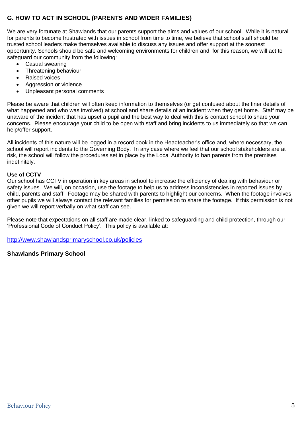# **G. HOW TO ACT IN SCHOOL (PARENTS AND WIDER FAMILIES)**

We are very fortunate at Shawlands that our parents support the aims and values of our school. While it is natural for parents to become frustrated with issues in school from time to time, we believe that school staff should be trusted school leaders make themselves available to discuss any issues and offer support at the soonest opportunity. Schools should be safe and welcoming environments for children and, for this reason, we will act to safeguard our community from the following:

- Casual swearing
- Threatening behaviour
- Raised voices
- Aggression or violence
- Unpleasant personal comments

Please be aware that children will often keep information to themselves (or get confused about the finer details of what happened and who was involved) at school and share details of an incident when they get home. Staff may be unaware of the incident that has upset a pupil and the best way to deal with this is contact school to share your concerns. Please encourage your child to be open with staff and bring incidents to us immediately so that we can help/offer support.

All incidents of this nature will be logged in a record book in the Headteacher's office and, where necessary, the school will report incidents to the Governing Body. In any case where we feel that our school stakeholders are at risk, the school will follow the procedures set in place by the Local Authority to ban parents from the premises indefinitely.

## **Use of CCTV**

Our school has CCTV in operation in key areas in school to increase the efficiency of dealing with behaviour or safety issues. We will, on occasion, use the footage to help us to address inconsistencies in reported issues by child, parents and staff. Footage may be shared with parents to highlight our concerns. When the footage involves other pupils we will always contact the relevant families for permission to share the footage. If this permission is not given we will report verbally on what staff can see.

Please note that expectations on all staff are made clear, linked to safeguarding and child protection, through our 'Professional Code of Conduct Policy'. This policy is available at:

<http://www.shawlandsprimaryschool.co.uk/policies>

## **Shawlands Primary School**